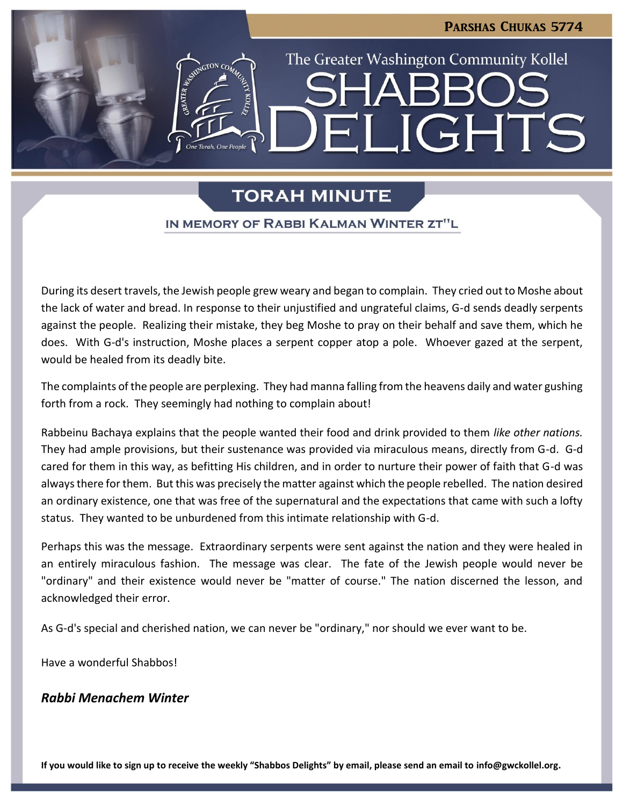LIGHTS

The Greater Washington Community Kollel

# **TORAH MINUTE**

 $\blacksquare$ 

### IN MEMORY OF RABBI KALMAN WINTER ZT"L

During its desert travels, the Jewish people grew weary and began to complain. They cried out to Moshe about the lack of water and bread. In response to their unjustified and ungrateful claims, G-d sends deadly serpents against the people. Realizing their mistake, they beg Moshe to pray on their behalf and save them, which he does. With G-d's instruction, Moshe places a serpent copper atop a pole. Whoever gazed at the serpent, would be healed from its deadly bite.

The complaints of the people are perplexing. They had manna falling from the heavens daily and water gushing forth from a rock. They seemingly had nothing to complain about!

Rabbeinu Bachaya explains that the people wanted their food and drink provided to them *like other nations.* They had ample provisions, but their sustenance was provided via miraculous means, directly from G-d. G-d cared for them in this way, as befitting His children, and in order to nurture their power of faith that G-d was always there for them. But this was precisely the matter against which the people rebelled. The nation desired an ordinary existence, one that was free of the supernatural and the expectations that came with such a lofty status. They wanted to be unburdened from this intimate relationship with G-d.

Perhaps this was the message. Extraordinary serpents were sent against the nation and they were healed in an entirely miraculous fashion. The message was clear. The fate of the Jewish people would never be "ordinary" and their existence would never be "matter of course." The nation discerned the lesson, and acknowledged their error.

As G-d's special and cherished nation, we can never be "ordinary," nor should we ever want to be.

Have a wonderful Shabbos!

# *Rabbi Menachem Winter*

**If you would like to sign up to receive the weekly "Shabbos Delights" by email, please send an email to [info@gwckollel.org.](mailto:info@gwckollel.org)**